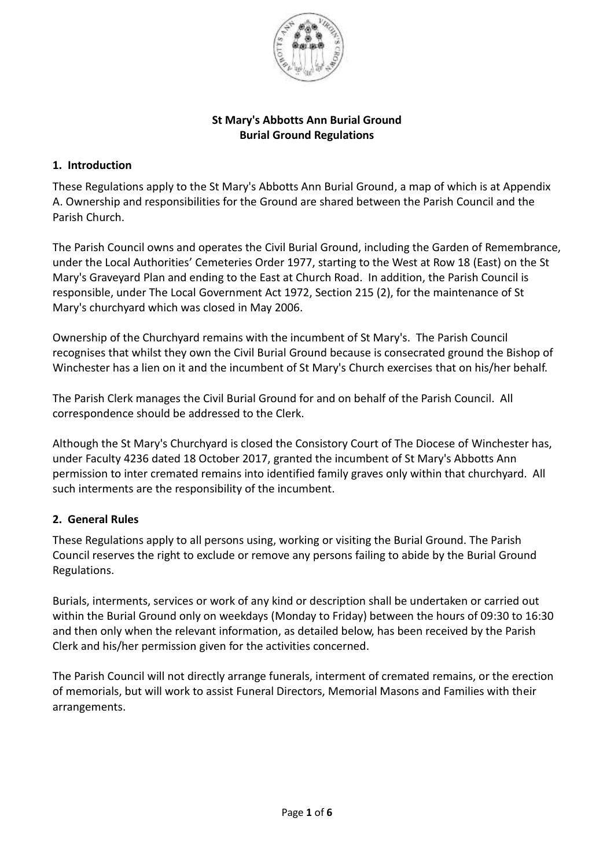

## **St Mary's Abbotts Ann Burial Ground Burial Ground Regulations**

## **1. Introduction**

These Regulations apply to the St Mary's Abbotts Ann Burial Ground, a map of which is at Appendix A. Ownership and responsibilities for the Ground are shared between the Parish Council and the Parish Church.

The Parish Council owns and operates the Civil Burial Ground, including the Garden of Remembrance, under the Local Authorities' Cemeteries Order 1977, starting to the West at Row 18 (East) on the St Mary's Graveyard Plan and ending to the East at Church Road. In addition, the Parish Council is responsible, under The Local Government Act 1972, Section 215 (2), for the maintenance of St Mary's churchyard which was closed in May 2006.

Ownership of the Churchyard remains with the incumbent of St Mary's. The Parish Council recognises that whilst they own the Civil Burial Ground because is consecrated ground the Bishop of Winchester has a lien on it and the incumbent of St Mary's Church exercises that on his/her behalf.

The Parish Clerk manages the Civil Burial Ground for and on behalf of the Parish Council. All correspondence should be addressed to the Clerk.

Although the St Mary's Churchyard is closed the Consistory Court of The Diocese of Winchester has, under Faculty 4236 dated 18 October 2017, granted the incumbent of St Mary's Abbotts Ann permission to inter cremated remains into identified family graves only within that churchyard. All such interments are the responsibility of the incumbent.

# **2. General Rules**

These Regulations apply to all persons using, working or visiting the Burial Ground. The Parish Council reserves the right to exclude or remove any persons failing to abide by the Burial Ground Regulations.

Burials, interments, services or work of any kind or description shall be undertaken or carried out within the Burial Ground only on weekdays (Monday to Friday) between the hours of 09:30 to 16:30 and then only when the relevant information, as detailed below, has been received by the Parish Clerk and his/her permission given for the activities concerned.

The Parish Council will not directly arrange funerals, interment of cremated remains, or the erection of memorials, but will work to assist Funeral Directors, Memorial Masons and Families with their arrangements.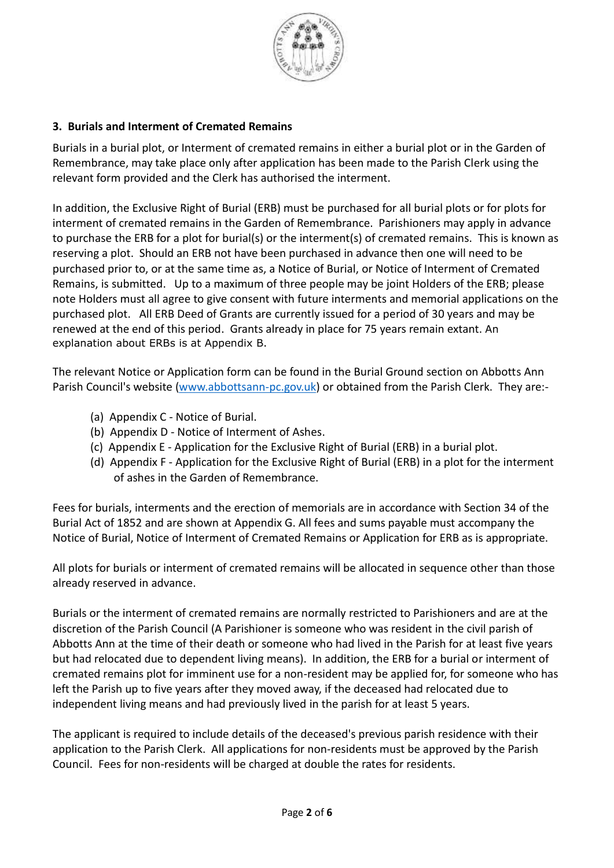

# **3. Burials and Interment of Cremated Remains**

Burials in a burial plot, or Interment of cremated remains in either a burial plot or in the Garden of Remembrance, may take place only after application has been made to the Parish Clerk using the relevant form provided and the Clerk has authorised the interment.

In addition, the Exclusive Right of Burial (ERB) must be purchased for all burial plots or for plots for interment of cremated remains in the Garden of Remembrance. Parishioners may apply in advance to purchase the ERB for a plot for burial(s) or the interment(s) of cremated remains. This is known as reserving a plot. Should an ERB not have been purchased in advance then one will need to be purchased prior to, or at the same time as, a Notice of Burial, or Notice of Interment of Cremated Remains, is submitted. Up to a maximum of three people may be joint Holders of the ERB; please note Holders must all agree to give consent with future interments and memorial applications on the purchased plot. All ERB Deed of Grants are currently issued for a period of 30 years and may be renewed at the end of this period. Grants already in place for 75 years remain extant. An explanation about ERBs is at Appendix B.

The relevant Notice or Application form can be found in the Burial Ground section on Abbotts Ann Parish Council's website [\(www.abbottsann-pc.gov.uk\)](http://www.abbottsann-pc.gov.uk/) or obtained from the Parish Clerk. They are:-

- (a) Appendix C Notice of Burial.
- (b) Appendix D Notice of Interment of Ashes.
- (c) Appendix E Application for the Exclusive Right of Burial (ERB) in a burial plot.
- (d) Appendix F Application for the Exclusive Right of Burial (ERB) in a plot for the interment of ashes in the Garden of Remembrance.

Fees for burials, interments and the erection of memorials are in accordance with Section 34 of the Burial Act of 1852 and are shown at Appendix G. All fees and sums payable must accompany the Notice of Burial, Notice of Interment of Cremated Remains or Application for ERB as is appropriate.

All plots for burials or interment of cremated remains will be allocated in sequence other than those already reserved in advance.

Burials or the interment of cremated remains are normally restricted to Parishioners and are at the discretion of the Parish Council (A Parishioner is someone who was resident in the civil parish of Abbotts Ann at the time of their death or someone who had lived in the Parish for at least five years but had relocated due to dependent living means). In addition, the ERB for a burial or interment of cremated remains plot for imminent use for a non-resident may be applied for, for someone who has left the Parish up to five years after they moved away, if the deceased had relocated due to independent living means and had previously lived in the parish for at least 5 years.

The applicant is required to include details of the deceased's previous parish residence with their application to the Parish Clerk. All applications for non-residents must be approved by the Parish Council. Fees for non-residents will be charged at double the rates for residents.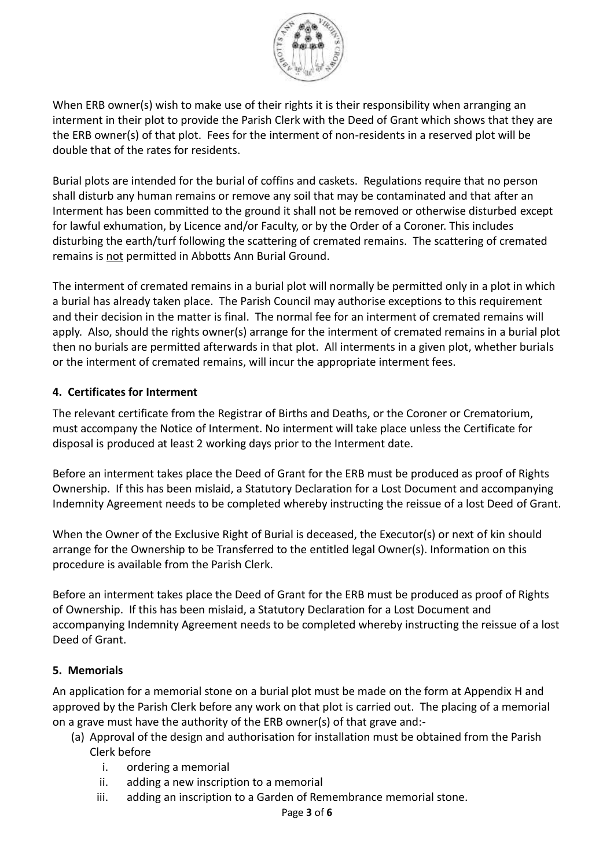

When ERB owner(s) wish to make use of their rights it is their responsibility when arranging an interment in their plot to provide the Parish Clerk with the Deed of Grant which shows that they are the ERB owner(s) of that plot. Fees for the interment of non-residents in a reserved plot will be double that of the rates for residents.

Burial plots are intended for the burial of coffins and caskets. Regulations require that no person shall disturb any human remains or remove any soil that may be contaminated and that after an Interment has been committed to the ground it shall not be removed or otherwise disturbed except for lawful exhumation, by Licence and/or Faculty, or by the Order of a Coroner. This includes disturbing the earth/turf following the scattering of cremated remains. The scattering of cremated remains is not permitted in Abbotts Ann Burial Ground.

The interment of cremated remains in a burial plot will normally be permitted only in a plot in which a burial has already taken place. The Parish Council may authorise exceptions to this requirement and their decision in the matter is final. The normal fee for an interment of cremated remains will apply. Also, should the rights owner(s) arrange for the interment of cremated remains in a burial plot then no burials are permitted afterwards in that plot. All interments in a given plot, whether burials or the interment of cremated remains, will incur the appropriate interment fees.

# **4. Certificates for Interment**

The relevant certificate from the Registrar of Births and Deaths, or the Coroner or Crematorium, must accompany the Notice of Interment. No interment will take place unless the Certificate for disposal is produced at least 2 working days prior to the Interment date.

Before an interment takes place the Deed of Grant for the ERB must be produced as proof of Rights Ownership. If this has been mislaid, a Statutory Declaration for a Lost Document and accompanying Indemnity Agreement needs to be completed whereby instructing the reissue of a lost Deed of Grant.

When the Owner of the Exclusive Right of Burial is deceased, the Executor(s) or next of kin should arrange for the Ownership to be Transferred to the entitled legal Owner(s). Information on this procedure is available from the Parish Clerk.

Before an interment takes place the Deed of Grant for the ERB must be produced as proof of Rights of Ownership. If this has been mislaid, a Statutory Declaration for a Lost Document and accompanying Indemnity Agreement needs to be completed whereby instructing the reissue of a lost Deed of Grant.

### **5. Memorials**

An application for a memorial stone on a burial plot must be made on the form at Appendix H and approved by the Parish Clerk before any work on that plot is carried out. The placing of a memorial on a grave must have the authority of the ERB owner(s) of that grave and:-

- (a) Approval of the design and authorisation for installation must be obtained from the Parish Clerk before
	- i. ordering a memorial
	- ii. adding a new inscription to a memorial
	- iii. adding an inscription to a Garden of Remembrance memorial stone.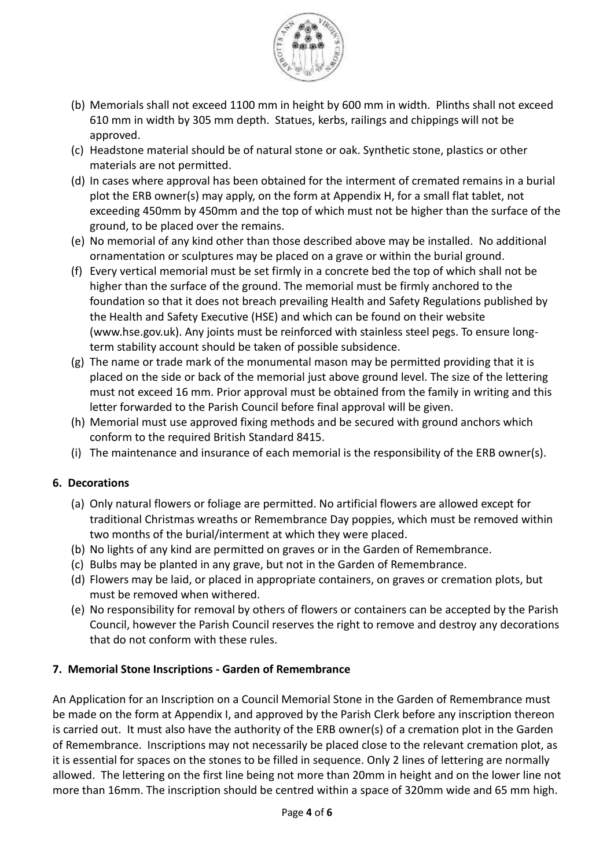

- (b) Memorials shall not exceed 1100 mm in height by 600 mm in width. Plinths shall not exceed 610 mm in width by 305 mm depth. Statues, kerbs, railings and chippings will not be approved.
- (c) Headstone material should be of natural stone or oak. Synthetic stone, plastics or other materials are not permitted.
- (d) In cases where approval has been obtained for the interment of cremated remains in a burial plot the ERB owner(s) may apply, on the form at Appendix H, for a small flat tablet, not exceeding 450mm by 450mm and the top of which must not be higher than the surface of the ground, to be placed over the remains.
- (e) No memorial of any kind other than those described above may be installed. No additional ornamentation or sculptures may be placed on a grave or within the burial ground.
- (f) Every vertical memorial must be set firmly in a concrete bed the top of which shall not be higher than the surface of the ground. The memorial must be firmly anchored to the foundation so that it does not breach prevailing Health and Safety Regulations published by the Health and Safety Executive (HSE) and which can be found on their website (www.hse.gov.uk). Any joints must be reinforced with stainless steel pegs. To ensure longterm stability account should be taken of possible subsidence.
- $(g)$  The name or trade mark of the monumental mason may be permitted providing that it is placed on the side or back of the memorial just above ground level. The size of the lettering must not exceed 16 mm. Prior approval must be obtained from the family in writing and this letter forwarded to the Parish Council before final approval will be given.
- (h) Memorial must use approved fixing methods and be secured with ground anchors which conform to the required British Standard 8415.
- (i) The maintenance and insurance of each memorial is the responsibility of the ERB owner(s).

# **6. Decorations**

- (a) Only natural flowers or foliage are permitted. No artificial flowers are allowed except for traditional Christmas wreaths or Remembrance Day poppies, which must be removed within two months of the burial/interment at which they were placed.
- (b) No lights of any kind are permitted on graves or in the Garden of Remembrance.
- (c) Bulbs may be planted in any grave, but not in the Garden of Remembrance.
- (d) Flowers may be laid, or placed in appropriate containers, on graves or cremation plots, but must be removed when withered.
- (e) No responsibility for removal by others of flowers or containers can be accepted by the Parish Council, however the Parish Council reserves the right to remove and destroy any decorations that do not conform with these rules.

# **7. Memorial Stone Inscriptions - Garden of Remembrance**

An Application for an Inscription on a Council Memorial Stone in the Garden of Remembrance must be made on the form at Appendix I, and approved by the Parish Clerk before any inscription thereon is carried out. It must also have the authority of the ERB owner(s) of a cremation plot in the Garden of Remembrance. Inscriptions may not necessarily be placed close to the relevant cremation plot, as it is essential for spaces on the stones to be filled in sequence. Only 2 lines of lettering are normally allowed. The lettering on the first line being not more than 20mm in height and on the lower line not more than 16mm. The inscription should be centred within a space of 320mm wide and 65 mm high.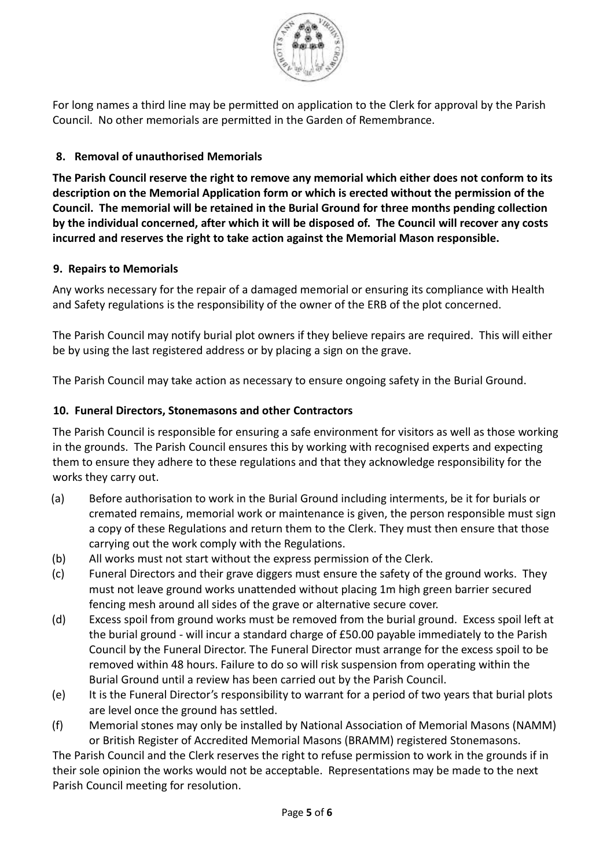

For long names a third line may be permitted on application to the Clerk for approval by the Parish Council. No other memorials are permitted in the Garden of Remembrance.

# **8. Removal of unauthorised Memorials**

**The Parish Council reserve the right to remove any memorial which either does not conform to its description on the Memorial Application form or which is erected without the permission of the Council. The memorial will be retained in the Burial Ground for three months pending collection by the individual concerned, after which it will be disposed of. The Council will recover any costs incurred and reserves the right to take action against the Memorial Mason responsible.**

## **9. Repairs to Memorials**

Any works necessary for the repair of a damaged memorial or ensuring its compliance with Health and Safety regulations is the responsibility of the owner of the ERB of the plot concerned.

The Parish Council may notify burial plot owners if they believe repairs are required. This will either be by using the last registered address or by placing a sign on the grave.

The Parish Council may take action as necessary to ensure ongoing safety in the Burial Ground.

## **10. Funeral Directors, Stonemasons and other Contractors**

The Parish Council is responsible for ensuring a safe environment for visitors as well as those working in the grounds. The Parish Council ensures this by working with recognised experts and expecting them to ensure they adhere to these regulations and that they acknowledge responsibility for the works they carry out.

- (a) Before authorisation to work in the Burial Ground including interments, be it for burials or cremated remains, memorial work or maintenance is given, the person responsible must sign a copy of these Regulations and return them to the Clerk. They must then ensure that those carrying out the work comply with the Regulations.
- (b) All works must not start without the express permission of the Clerk.
- (c) Funeral Directors and their grave diggers must ensure the safety of the ground works. They must not leave ground works unattended without placing 1m high green barrier secured fencing mesh around all sides of the grave or alternative secure cover.
- (d) Excess spoil from ground works must be removed from the burial ground. Excess spoil left at the burial ground - will incur a standard charge of £50.00 payable immediately to the Parish Council by the Funeral Director. The Funeral Director must arrange for the excess spoil to be removed within 48 hours. Failure to do so will risk suspension from operating within the Burial Ground until a review has been carried out by the Parish Council.
- (e) It is the Funeral Director's responsibility to warrant for a period of two years that burial plots are level once the ground has settled.
- (f) Memorial stones may only be installed by National Association of Memorial Masons (NAMM) or British Register of Accredited Memorial Masons (BRAMM) registered Stonemasons.

The Parish Council and the Clerk reserves the right to refuse permission to work in the grounds if in their sole opinion the works would not be acceptable. Representations may be made to the next Parish Council meeting for resolution.